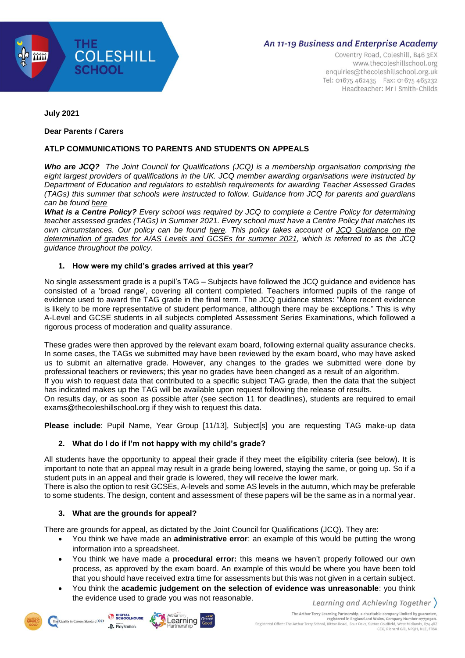

Coventry Road, Coleshill, B46 3EX www.thecoleshillschool.org enquiries@thecoleshillschool.org.uk Tel: 01675 462435 Fax: 01675 465232 Headteacher: Mr I Smith-Childs

**July 2021**

#### **Dear Parents / Carers**

## **ATLP COMMUNICATIONS TO PARENTS AND STUDENTS ON APPEALS**

*Who are JCQ? The Joint Council for Qualifications (JCQ) is a membership organisation comprising the eight largest providers of qualifications in the UK. JCQ member awarding organisations were instructed by Department of Education and regulators to establish requirements for awarding Teacher Assessed Grades (TAGs) this summer that schools were instructed to follow. Guidance from JCQ for parents and guardians can be found [here](https://www.jcq.org.uk/wp-content/uploads/2021/03/JCQ-Guidance-for-Students-and-Parents-on-Summer-2021.pdf)*

What is a Centre Policy? Every school was required by JCQ to complete a Centre Policy for determining *teacher assessed grades (TAGs) in Summer 2021. Every school must have a Centre Policy that matches its own circumstances. Our policy can be found [here.](https://coleshill.warwickshire.sch.uk/files/2021/06/TCS_Summer_2021_Centre_Policy.pdf) This policy takes account of JCQ [Guidance](https://www.jcq.org.uk/wp-content/uploads/2021/04/JCQ-Guidance-on-the-Determination-of-Grades-for-A-AS-Levels-and-GCSEs-Summer-2021.pdf) on the [determination](https://www.jcq.org.uk/wp-content/uploads/2021/04/JCQ-Guidance-on-the-Determination-of-Grades-for-A-AS-Levels-and-GCSEs-Summer-2021.pdf) of grades for A/AS Levels and GCSEs for summer 2021, which is referred to as the JCQ guidance throughout the policy.*

## **1. How were my child's grades arrived at this year?**

No single assessment grade is a pupil's TAG – Subjects have followed the JCQ guidance and evidence has consisted of a 'broad range', covering all content completed. Teachers informed pupils of the range of evidence used to award the TAG grade in the final term. The JCQ guidance states: "More recent evidence is likely to be more representative of student performance, although there may be exceptions." This is why A-Level and GCSE students in all subjects completed Assessment Series Examinations, which followed a rigorous process of moderation and quality assurance.

These grades were then approved by the relevant exam board, following external quality assurance checks. In some cases, the TAGs we submitted may have been reviewed by the exam board, who may have asked us to submit an alternative grade. However, any changes to the grades we submitted were done by professional teachers or reviewers; this year no grades have been changed as a result of an algorithm. If you wish to request data that contributed to a specific subject TAG grade, then the data that the subject has indicated makes up the TAG will be available upon request following the release of results. On results day, or as soon as possible after (see section 11 for deadlines), students are required to email exams@thecoleshillschool.org if they wish to request this data.

**Please include**: Pupil Name, Year Group [11/13], Subject[s] you are requesting TAG make-up data

## **2. What do I do if I'm not happy with my child's grade?**

All students have the opportunity to appeal their grade if they meet the eligibility criteria (see below). It is important to note that an appeal may result in a grade being lowered, staying the same, or going up. So if a student puts in an appeal and their grade is lowered, they will receive the lower mark.

There is also the option to resit GCSEs, A-levels and some AS levels in the autumn, which may be preferable to some students. The design, content and assessment of these papers will be the same as in a normal year.

## **3. What are the grounds for appeal?**

There are grounds for appeal, as dictated by the Joint Council for Qualifications (JCQ). They are:

- You think we have made an **administrative error**: an example of this would be putting the wrong information into a spreadsheet.
- You think we have made a **procedural error:** this means we haven't properly followed our own process, as approved by the exam board. An example of this would be where you have been told that you should have received extra time for assessments but this was not given in a certain subject.
- You think the **academic judgement on the selection of evidence was unreasonable**: you think the evidence used to grade you was not reasonable.Learning and Achieving Together  $\rangle$



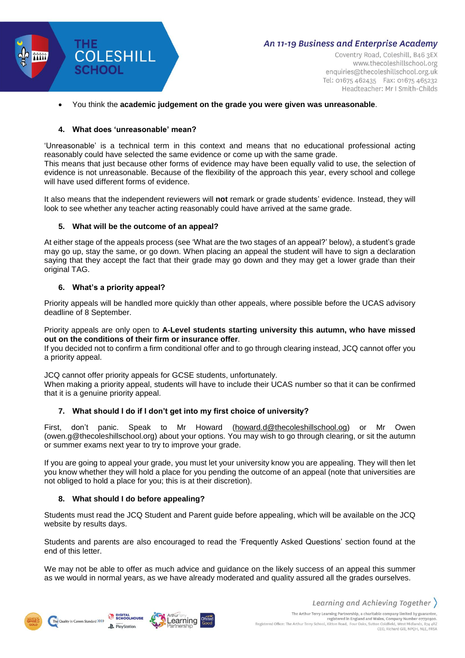

Coventry Road, Coleshill, B46 3EX www.thecoleshillschool.org enquiries@thecoleshillschool.org.uk Tel: 01675 462435 Fax: 01675 465232 Headteacher: Mr I Smith-Childs

#### You think the **academic judgement on the grade you were given was unreasonable**.

#### **4. What does 'unreasonable' mean?**

'Unreasonable' is a technical term in this context and means that no educational professional acting reasonably could have selected the same evidence or come up with the same grade. This means that just because other forms of evidence may have been equally valid to use, the selection of evidence is not unreasonable. Because of the flexibility of the approach this year, every school and college will have used different forms of evidence.

It also means that the independent reviewers will **not** remark or grade students' evidence. Instead, they will look to see whether any teacher acting reasonably could have arrived at the same grade.

## **5. What will be the outcome of an appeal?**

At either stage of the appeals process (see 'What are the two stages of an appeal?' below), a student's grade may go up, stay the same, or go down. When placing an appeal the student will have to sign a declaration saying that they accept the fact that their grade may go down and they may get a lower grade than their original TAG.

#### **6. What's a priority appeal?**

Priority appeals will be handled more quickly than other appeals, where possible before the UCAS advisory deadline of 8 September.

Priority appeals are only open to **A-Level students starting university this autumn, who have missed out on the conditions of their firm or insurance offer**.

If you decided not to confirm a firm conditional offer and to go through clearing instead, JCQ cannot offer you a priority appeal.

JCQ cannot offer priority appeals for GCSE students, unfortunately. When making a priority appeal, students will have to include their UCAS number so that it can be confirmed that it is a genuine priority appeal.

## **7. What should I do if I don't get into my first choice of university?**

First, don't panic. Speak to Mr Howard [\(howard.d@thecoleshillschool.og\)](mailto:howard.d@thecoleshillschool.og) or Mr Owen (owen.g@thecoleshillschool.org) about your options. You may wish to go through clearing, or sit the autumn or summer exams next year to try to improve your grade.

If you are going to appeal your grade, you must let your university know you are appealing. They will then let you know whether they will hold a place for you pending the outcome of an appeal (note that universities are not obliged to hold a place for you; this is at their discretion).

## **8. What should I do before appealing?**

Students must read the JCQ Student and Parent guide before appealing, which will be available on the JCQ website by results days.

Students and parents are also encouraged to read the 'Frequently Asked Questions' section found at the end of this letter.

We may not be able to offer as much advice and guidance on the likely success of an appeal this summer as we would in normal years, as we have already moderated and quality assured all the grades ourselves.



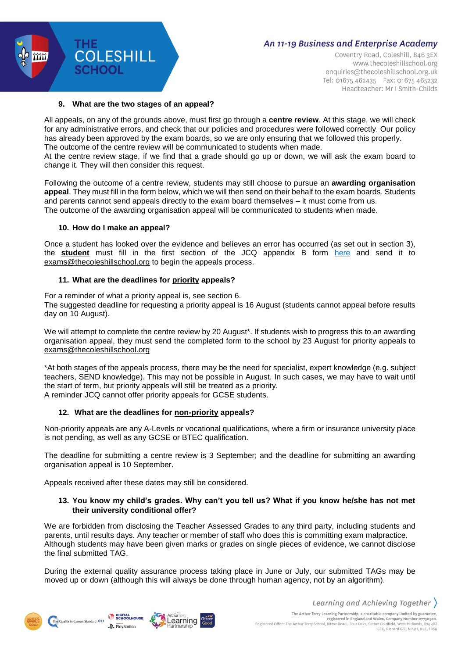

Coventry Road, Coleshill, B46 3EX www.thecoleshillschool.org enquiries@thecoleshillschool.org.uk Tel: 01675 462435 Fax: 01675 465232 Headteacher: Mr I Smith-Childs

#### **9. What are the two stages of an appeal?**

**COLESHILL** 

**SCHOOL** 

**ATATE** 

All appeals, on any of the grounds above, must first go through a **centre review**. At this stage, we will check for any administrative errors, and check that our policies and procedures were followed correctly. Our policy has already been approved by the exam boards, so we are only ensuring that we followed this properly. The outcome of the centre review will be communicated to students when made.

At the centre review stage, if we find that a grade should go up or down, we will ask the exam board to change it. They will then consider this request.

Following the outcome of a centre review, students may still choose to pursue an **awarding organisation appeal**. They must fill in the form below, which we will then send on their behalf to the exam boards. Students and parents cannot send appeals directly to the exam board themselves – it must come from us. The outcome of the awarding organisation appeal will be communicated to students when made.

#### **10. How do I make an appeal?**

Once a student has looked over the evidence and believes an error has occurred (as set out in section 3), the **student** must fill in the first section of the JCQ appendix B form [here](https://www.jcq.org.uk/wp-content/uploads/2021/06/JCQ_Appeals-Guidance_Summer-2021_Appendix-B.pdf) and send it to [exams@thecoleshillschool.org](mailto:exams@thecoleshillschool.org) to begin the appeals process.

#### **11. What are the deadlines for priority appeals?**

For a reminder of what a priority appeal is, see section 6. The suggested deadline for requesting a priority appeal is 16 August (students cannot appeal before results day on 10 August).

We will attempt to complete the centre review by 20 August<sup>\*</sup>. If students wish to progress this to an awarding organisation appeal, they must send the completed form to the school by 23 August for priority appeals to [exams@thecoleshillschool.org](mailto:exams@thecoleshillschool.org)

\*At both stages of the appeals process, there may be the need for specialist, expert knowledge (e.g. subject teachers, SEND knowledge). This may not be possible in August. In such cases, we may have to wait until the start of term, but priority appeals will still be treated as a priority. A reminder JCQ cannot offer priority appeals for GCSE students.

#### **12. What are the deadlines for non-priority appeals?**

Non-priority appeals are any A-Levels or vocational qualifications, where a firm or insurance university place is not pending, as well as any GCSE or BTEC qualification.

The deadline for submitting a centre review is 3 September; and the deadline for submitting an awarding organisation appeal is 10 September.

Appeals received after these dates may still be considered.

#### **13. You know my child's grades. Why can't you tell us? What if you know he/she has not met their university conditional offer?**

We are forbidden from disclosing the Teacher Assessed Grades to any third party, including students and parents, until results days. Any teacher or member of staff who does this is committing exam malpractice. Although students may have been given marks or grades on single pieces of evidence, we cannot disclose the final submitted TAG.

During the external quality assurance process taking place in June or July, our submitted TAGs may be moved up or down (although this will always be done through human agency, not by an algorithm).





CEO, Richard Gill, NPOH, NLE, FRSA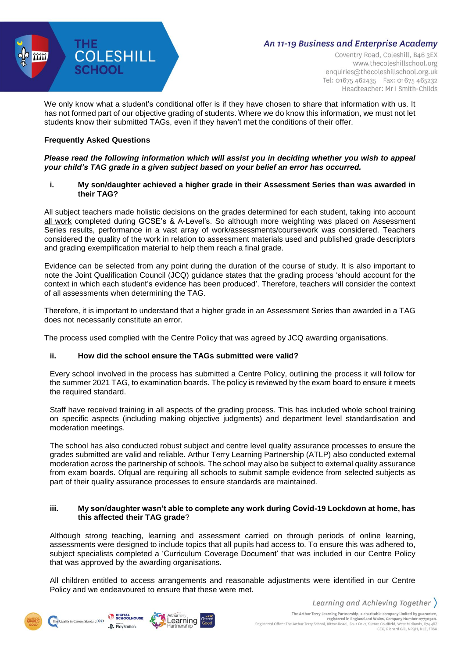

Coventry Road, Coleshill, B46 3EX www.thecoleshillschool.org enquiries@thecoleshillschool.org.uk Tel: 01675 462435 Fax: 01675 465232 Headteacher: Mr I Smith-Childs

We only know what a student's conditional offer is if they have chosen to share that information with us. It has not formed part of our objective grading of students. Where we do know this information, we must not let students know their submitted TAGs, even if they haven't met the conditions of their offer.

## **Frequently Asked Questions**

## *Please read the following information which will assist you in deciding whether you wish to appeal your child's TAG grade in a given subject based on your belief an error has occurred.*

## **i. My son/daughter achieved a higher grade in their Assessment Series than was awarded in their TAG?**

All subject teachers made holistic decisions on the grades determined for each student, taking into account all work completed during GCSE's & A-Level's. So although more weighting was placed on Assessment Series results, performance in a vast array of work/assessments/coursework was considered. Teachers considered the quality of the work in relation to assessment materials used and published grade descriptors and grading exemplification material to help them reach a final grade.

Evidence can be selected from any point during the duration of the course of study. It is also important to note the Joint Qualification Council (JCQ) guidance states that the grading process 'should account for the context in which each student's evidence has been produced'. Therefore, teachers will consider the context of all assessments when determining the TAG.

Therefore, it is important to understand that a higher grade in an Assessment Series than awarded in a TAG does not necessarily constitute an error.

The process used complied with the Centre Policy that was agreed by JCQ awarding organisations.

## **ii. How did the school ensure the TAGs submitted were valid?**

Every school involved in the process has submitted a Centre Policy, outlining the process it will follow for the summer 2021 TAG, to examination boards. The policy is reviewed by the exam board to ensure it meets the required standard.

Staff have received training in all aspects of the grading process. This has included whole school training on specific aspects (including making objective judgments) and department level standardisation and moderation meetings.

The school has also conducted robust subject and centre level quality assurance processes to ensure the grades submitted are valid and reliable. Arthur Terry Learning Partnership (ATLP) also conducted external moderation across the partnership of schools. The school may also be subject to external quality assurance from exam boards. Ofqual are requiring all schools to submit sample evidence from selected subjects as part of their quality assurance processes to ensure standards are maintained.

#### **iii. My son/daughter wasn't able to complete any work during Covid-19 Lockdown at home, has this affected their TAG grade**?

Although strong teaching, learning and assessment carried on through periods of online learning, assessments were designed to include topics that all pupils had access to. To ensure this was adhered to, subject specialists completed a 'Curriculum Coverage Document' that was included in our Centre Policy that was approved by the awarding organisations.

All children entitled to access arrangements and reasonable adjustments were identified in our Centre Policy and we endeavoured to ensure that these were met.